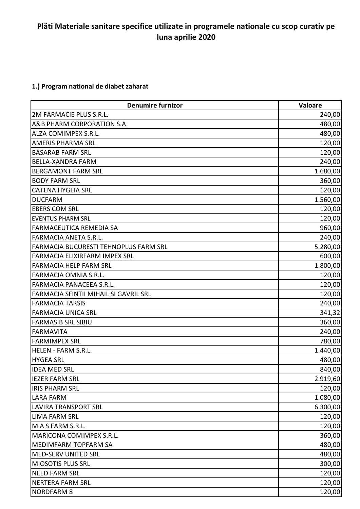## **Plăti Materiale sanitare specifice utilizate in programele nationale cu scop curativ pe luna aprilie 2020**

## **1.) Program national de diabet zaharat**

| <b>Denumire furnizor</b>              | Valoare  |
|---------------------------------------|----------|
| 2M FARMACIE PLUS S.R.L.               | 240,00   |
| A&B PHARM CORPORATION S.A             | 480,00   |
| ALZA COMIMPEX S.R.L.                  | 480,00   |
| <b>AMERIS PHARMA SRL</b>              | 120,00   |
| <b>BASARAB FARM SRL</b>               | 120,00   |
| <b>BELLA-XANDRA FARM</b>              | 240,00   |
| <b>BERGAMONT FARM SRL</b>             | 1.680,00 |
| <b>BODY FARM SRL</b>                  | 360,00   |
| <b>CATENA HYGEIA SRL</b>              | 120,00   |
| <b>DUCFARM</b>                        | 1.560,00 |
| <b>EBERS COM SRL</b>                  | 120,00   |
| <b>EVENTUS PHARM SRL</b>              | 120,00   |
| FARMACEUTICA REMEDIA SA               | 960,00   |
| FARMACIA ANETA S.R.L.                 | 240,00   |
| FARMACIA BUCURESTI TEHNOPLUS FARM SRL | 5.280,00 |
| FARMACIA ELIXIRFARM IMPEX SRL         | 600,00   |
| <b>FARMACIA HELP FARM SRL</b>         | 1.800,00 |
| FARMACIA OMNIA S.R.L.                 | 120,00   |
| FARMACIA PANACEEA S.R.L.              | 120,00   |
| FARMACIA SFINTII MIHAIL SI GAVRIL SRL | 120,00   |
| <b>FARMACIA TARSIS</b>                | 240,00   |
| <b>FARMACIA UNICA SRL</b>             | 341,32   |
| <b>FARMASIB SRL SIBIU</b>             | 360,00   |
| <b>FARMAVITA</b>                      | 240,00   |
| <b>FARMIMPEX SRL</b>                  | 780,00   |
| HELEN - FARM S.R.L.                   | 1.440,00 |
| <b>HYGEA SRL</b>                      | 480,00   |
| <b>IDEA MED SRL</b>                   | 840,00   |
| <b>IEZER FARM SRL</b>                 | 2.919,60 |
| <b>IRIS PHARM SRL</b>                 | 120,00   |
| LARA FARM                             | 1.080,00 |
| <b>LAVIRA TRANSPORT SRL</b>           | 6.300,00 |
| <b>LIMA FARM SRL</b>                  | 120,00   |
| M A S FARM S.R.L.                     | 120,00   |
| <b>MARICONA COMIMPEX S.R.L.</b>       | 360,00   |
| MEDIMFARM TOPFARM SA                  | 480,00   |
| <b>MED-SERV UNITED SRL</b>            | 480,00   |
| <b>MIOSOTIS PLUS SRL</b>              | 300,00   |
| <b>NEED FARM SRL</b>                  | 120,00   |
| <b>NERTERA FARM SRL</b>               | 120,00   |
| <b>NORDFARM 8</b>                     | 120,00   |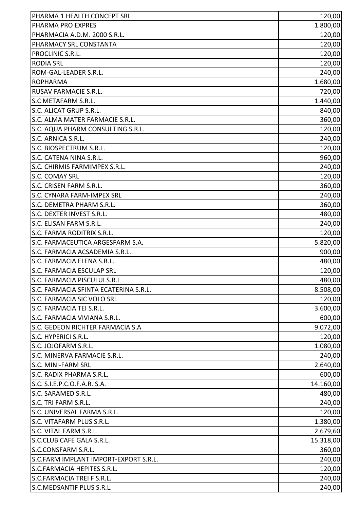| PHARMA 1 HEALTH CONCEPT SRL           | 120,00    |
|---------------------------------------|-----------|
| PHARMA PRO EXPRES                     | 1.800,00  |
| PHARMACIA A.D.M. 2000 S.R.L.          | 120,00    |
| PHARMACY SRL CONSTANTA                | 120,00    |
| PROCLINIC S.R.L.                      | 120,00    |
| <b>RODIA SRL</b>                      | 120,00    |
| ROM-GAL-LEADER S.R.L.                 | 240,00    |
| <b>ROPHARMA</b>                       | 1.680,00  |
| RUSAV FARMACIE S.R.L.                 | 720,00    |
| S.C METAFARM S.R.L.                   | 1.440,00  |
| S.C. ALICAT GRUP S.R.L.               | 840,00    |
| S.C. ALMA MATER FARMACIE S.R.L.       | 360,00    |
| S.C. AQUA PHARM CONSULTING S.R.L.     | 120,00    |
| S.C. ARNICA S.R.L.                    | 240,00    |
| S.C. BIOSPECTRUM S.R.L.               | 120,00    |
| S.C. CATENA NINA S.R.L.               | 960,00    |
| S.C. CHIRMIS FARMIMPEX S.R.L.         | 240,00    |
| S.C. COMAY SRL                        | 120,00    |
| S.C. CRISEN FARM S.R.L.               | 360,00    |
| S.C. CYNARA FARM-IMPEX SRL            | 240,00    |
| S.C. DEMETRA PHARM S.R.L.             | 360,00    |
| S.C. DEXTER INVEST S.R.L.             | 480,00    |
| S.C. ELISAN FARM S.R.L.               | 240,00    |
| S.C. FARMA RODITRIX S.R.L.            | 120,00    |
| S.C. FARMACEUTICA ARGESFARM S.A.      | 5.820,00  |
| S.C. FARMACIA ACSADEMIA S.R.L.        | 900,00    |
| S.C. FARMACIA ELENA S.R.L.            | 480,00    |
| S.C. FARMACIA ESCULAP SRL             | 120,00    |
| S.C. FARMACIA PISCULUI S.R.L          | 480,00    |
| S.C. FARMACIA SFINTA ECATERINA S.R.L. | 8.508,00  |
| S.C. FARMACIA SIC VOLO SRL            | 120,00    |
| S.C. FARMACIA TEI S.R.L.              | 3.600,00  |
| S.C. FARMACIA VIVIANA S.R.L.          | 600,00    |
| S.C. GEDEON RICHTER FARMACIA S.A      | 9.072,00  |
| S.C. HYPERICI S.R.L.                  | 120,00    |
| S.C. JOJOFARM S.R.L.                  | 1.080,00  |
| S.C. MINERVA FARMACIE S.R.L.          | 240,00    |
| <b>S.C. MINI-FARM SRL</b>             | 2.640,00  |
| S.C. RADIX PHARMA S.R.L.              | 600,00    |
| S.C. S.I.E.P.C.O.F.A.R. S.A.          | 14.160,00 |
| S.C. SARAMED S.R.L.                   | 480,00    |
| S.C. TRI FARM S.R.L.                  | 240,00    |
| S.C. UNIVERSAL FARMA S.R.L.           | 120,00    |
| S.C. VITAFARM PLUS S.R.L.             | 1.380,00  |
| S.C. VITAL FARM S.R.L.                | 2.679,60  |
| S.C.CLUB CAFE GALA S.R.L.             | 15.318,00 |
| S.C.CONSFARM S.R.L.                   | 360,00    |
| S.C.FARM IMPLANT IMPORT-EXPORT S.R.L. | 240,00    |
| S.C.FARMACIA HEPITES S.R.L.           | 120,00    |
| S.C.FARMACIA TREI F S.R.L.            | 240,00    |
| S.C.MEDSANTIF PLUS S.R.L.             | 240,00    |